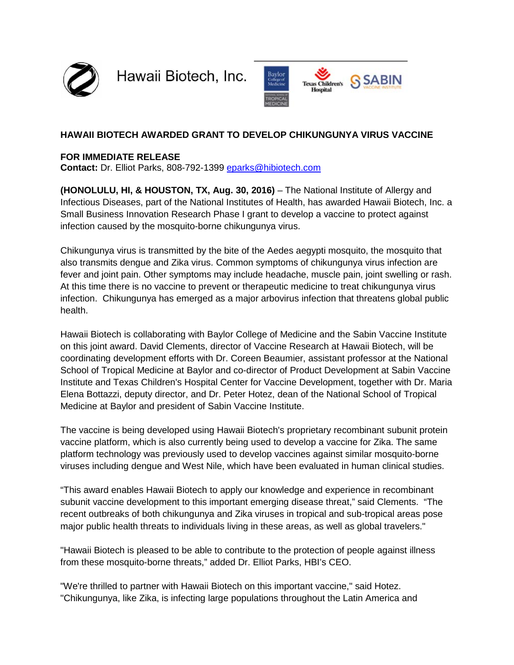

Hawaii Biotech, Inc.



# **HAWAII BIOTECH AWARDED GRANT TO DEVELOP CHIKUNGUNYA VIRUS VACCINE**

#### **FOR IMMEDIATE RELEASE**

**Contact:** Dr. Elliot Parks, 808-792-1399 [eparks@hibiotech.com](mailto:eparks@hibiotech.com)

**(HONOLULU, HI, & HOUSTON, TX, Aug. 30, 2016)** – The National Institute of Allergy and Infectious Diseases, part of the National Institutes of Health, has awarded Hawaii Biotech, Inc. a Small Business Innovation Research Phase I grant to develop a vaccine to protect against infection caused by the mosquito-borne chikungunya virus.

Chikungunya virus is transmitted by the bite of the Aedes aegypti mosquito, the mosquito that also transmits dengue and Zika virus. Common symptoms of chikungunya virus infection are fever and joint pain. Other symptoms may include headache, muscle pain, joint swelling or rash. At this time there is no vaccine to prevent or therapeutic medicine to treat chikungunya virus infection. Chikungunya has emerged as a major arbovirus infection that threatens global public health.

Hawaii Biotech is collaborating with Baylor College of Medicine and the Sabin Vaccine Institute on this joint award. David Clements, director of Vaccine Research at Hawaii Biotech, will be coordinating development efforts with Dr. Coreen Beaumier, assistant professor at the National School of Tropical Medicine at Baylor and co-director of Product Development at Sabin Vaccine Institute and Texas Children's Hospital Center for Vaccine Development, together with Dr. Maria Elena Bottazzi, deputy director, and Dr. Peter Hotez, dean of the National School of Tropical Medicine at Baylor and president of Sabin Vaccine Institute.

The vaccine is being developed using Hawaii Biotech's proprietary recombinant subunit protein vaccine platform, which is also currently being used to develop a vaccine for Zika. The same platform technology was previously used to develop vaccines against similar mosquito-borne viruses including dengue and West Nile, which have been evaluated in human clinical studies.

"This award enables Hawaii Biotech to apply our knowledge and experience in recombinant subunit vaccine development to this important emerging disease threat," said Clements. "The recent outbreaks of both chikungunya and Zika viruses in tropical and sub-tropical areas pose major public health threats to individuals living in these areas, as well as global travelers."

"Hawaii Biotech is pleased to be able to contribute to the protection of people against illness from these mosquito-borne threats," added Dr. Elliot Parks, HBI's CEO.

"We're thrilled to partner with Hawaii Biotech on this important vaccine," said Hotez. "Chikungunya, like Zika, is infecting large populations throughout the Latin America and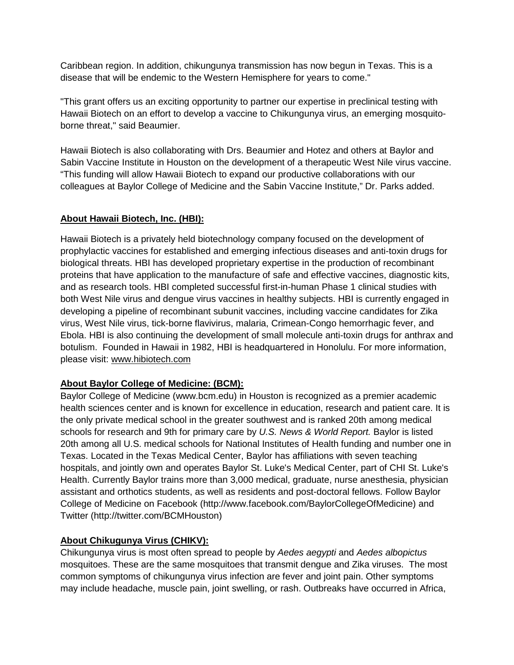Caribbean region. In addition, chikungunya transmission has now begun in Texas. This is a disease that will be endemic to the Western Hemisphere for years to come."

"This grant offers us an exciting opportunity to partner our expertise in preclinical testing with Hawaii Biotech on an effort to develop a vaccine to Chikungunya virus, an emerging mosquitoborne threat," said Beaumier.

Hawaii Biotech is also collaborating with Drs. Beaumier and Hotez and others at Baylor and Sabin Vaccine Institute in Houston on the development of a therapeutic West Nile virus vaccine. "This funding will allow Hawaii Biotech to expand our productive collaborations with our colleagues at Baylor College of Medicine and the Sabin Vaccine Institute," Dr. Parks added.

## **About Hawaii Biotech, Inc. (HBI):**

Hawaii Biotech is a privately held biotechnology company focused on the development of prophylactic vaccines for established and emerging infectious diseases and anti-toxin drugs for biological threats. HBI has developed proprietary expertise in the production of recombinant proteins that have application to the manufacture of safe and effective vaccines, diagnostic kits, and as research tools. HBI completed successful first-in-human Phase 1 clinical studies with both West Nile virus and dengue virus vaccines in healthy subjects. HBI is currently engaged in developing a pipeline of recombinant subunit vaccines, including vaccine candidates for Zika virus, West Nile virus, tick-borne flavivirus, malaria, Crimean-Congo hemorrhagic fever, and Ebola. HBI is also continuing the development of small molecule anti-toxin drugs for anthrax and botulism. Founded in Hawaii in 1982, HBI is headquartered in Honolulu. For more information, please visit: [www.hibiotech.com](http://www.hibiotech.com/)

#### **About Baylor College of Medicine: (BCM):**

Baylor College of Medicine (www.bcm.edu) in Houston is recognized as a premier academic health sciences center and is known for excellence in education, research and patient care. It is the only private medical school in the greater southwest and is ranked 20th among medical schools for research and 9th for primary care by *U.S. News & World Report.* Baylor is listed 20th among all U.S. medical schools for National Institutes of Health funding and number one in Texas. Located in the Texas Medical Center, Baylor has affiliations with seven teaching hospitals, and jointly own and operates Baylor St. Luke's Medical Center, part of CHI St. Luke's Health. Currently Baylor trains more than 3,000 medical, graduate, nurse anesthesia, physician assistant and orthotics students, as well as residents and post-doctoral fellows. Follow Baylor College of Medicine on Facebook (http://www.facebook.com/BaylorCollegeOfMedicine) and Twitter (http://twitter.com/BCMHouston)

## **About Chikugunya Virus (CHIKV):**

Chikungunya virus is most often spread to people by *Aedes aegypti* and *Aedes albopictus* mosquitoes. These are the same mosquitoes that transmit dengue and Zika viruses. The most common symptoms of chikungunya virus infection are fever and joint pain. Other symptoms may include headache, muscle pain, joint swelling, or rash. Outbreaks have occurred in Africa,